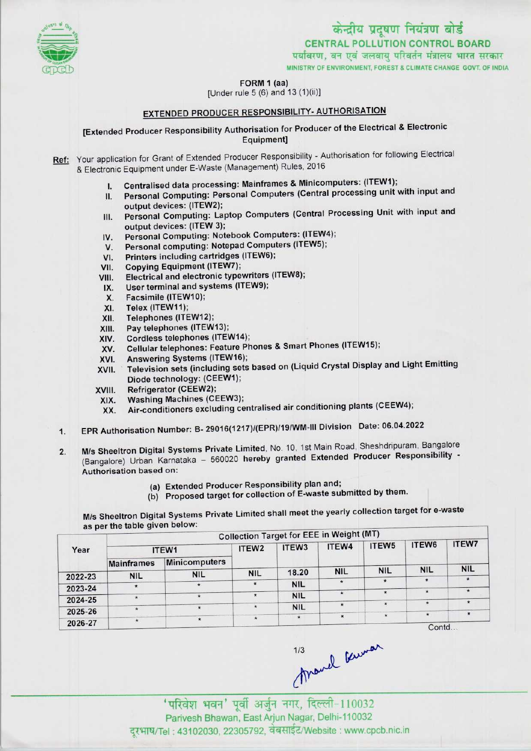

### FORM 1 (aa)

[Under rule 5 (6) and 13 (1){ii)l

# EXTENDED PRODUCER RESPONSIBILITY- AUTHORISATION

[Extended Producer Responsibility Authorisation for Producer of the Electrical & Electronic Equipment]

Ref: Your application for Grant of Extended Producer Responsibility - Authorisation for following Electrical & Electronic Equipment under E-Waste (Management) Rules, 2016

- I. Centralised data processing: Mainframes & Minicomputers: (ITEW1);
- II. Personal Computing: Personal Computers (Central processing unit with input and output devices: (ITEW2);
- Personal Computing: Laptop Computers(Central Processing Unit with input and **III.** output devices: (ITEW 3);
- IV. Personal Computing: Notebook Computers: (ITEW4);
- V. Personal computing: Notepad Computers (ITEW5);
- VI. Printers including cartridges (ITEW6);
- VII. Copying Equipment (ITEW7);
- VIII. Electrical and electronic typewriters (1TEW8);
- IX. User terminal and systems (ITEW9);
- X. Facsimile (ITEW10);
- XI. Telex (ITEW11);
- XII. Telephones (ITEW12);
- Xlll. Pay telephones (ITEW13);
- XIV. Cordless telephones (ITEW14);
- XV. Cellular telephones: Feature Phones & Smart Phones (ITEW15);
- XVI. Answering Systems(ITEW16);
- XVII. Television sets (including sets based on (Liquid Crystal Display and Light Emitting Diode technology: (CEEW1);
- XVIII. Refrigerator (CEEW2);
- XIX. Washing Machines(CEEW3);
- XX. Air-conditioners excluding centralised air conditioning plants(CEEW4);
- 1.EPR Authorisation Number: B- 29016(1217)/(EPR)/19/WM-lll Division Date: 06.04.2022
- 2. M/s Sheeltron Digital Systems Private Limited, No. 10, 1st Main Road, Sheshdripuram, Bangalore (Bangalore) Urban Karnataka - 560020 hereby granted Extended Producer Responsibility -Authorisation based on:
	- (a) Extended Producer Responsibility plan and;
	- (b) Proposed target for collection of E-waste submitted by them.

M/s Sheeltron Digital Systems Private Limited shall meet the yearly collection target for e-waste as per the table given below:

|         | as per the table green sensor<br><b>Collection Target for EEE in Weight (MT)</b> |                      |                   |                   |            |                   |                   |              |  |  |
|---------|----------------------------------------------------------------------------------|----------------------|-------------------|-------------------|------------|-------------------|-------------------|--------------|--|--|
| Year    | ITEW1                                                                            |                      | ITEW <sub>2</sub> | ITEW <sub>3</sub> | ITEW4      | ITEW <sub>5</sub> | ITEW6             | <b>ITEW7</b> |  |  |
|         | <b>Mainframes</b>                                                                | <b>Minicomputers</b> |                   |                   |            |                   |                   |              |  |  |
| 2022-23 | <b>NIL</b>                                                                       | <b>NIL</b>           | <b>NIL</b>        | 18.20             | <b>NIL</b> | <b>NIL</b>        | <b>NIL</b>        | <b>NIL</b>   |  |  |
| 2023-24 |                                                                                  | $\star$              | $\star$           | <b>NIL</b>        | ÷          |                   |                   |              |  |  |
|         |                                                                                  |                      |                   | <b>NIL</b>        |            |                   |                   |              |  |  |
| 2024-25 | $\ddot{\phantom{1}}$                                                             | $\star$              | $\star$           | <b>NIL</b>        | $\star$    | $\star$           |                   | $\star$      |  |  |
| 2025-26 |                                                                                  | $\star$              | $\star$           | $\star$           | $\star$    | $\star$           | $\star$           | $\cdot$      |  |  |
| 2026-27 | $\star$                                                                          |                      |                   |                   |            |                   | Cont <sub>d</sub> |              |  |  |

...

113<br>Mand Cuman<br>Tuliar भवन' पूर्वी अर्जुन नगर, दिल्ली-110032 Parivesh Bhawan, EastArjun Nagar, Delhi-110032 दूरभाष/Tel: 43102030, 22305792, वेबसाईट/Website : www.cpcb.nic.in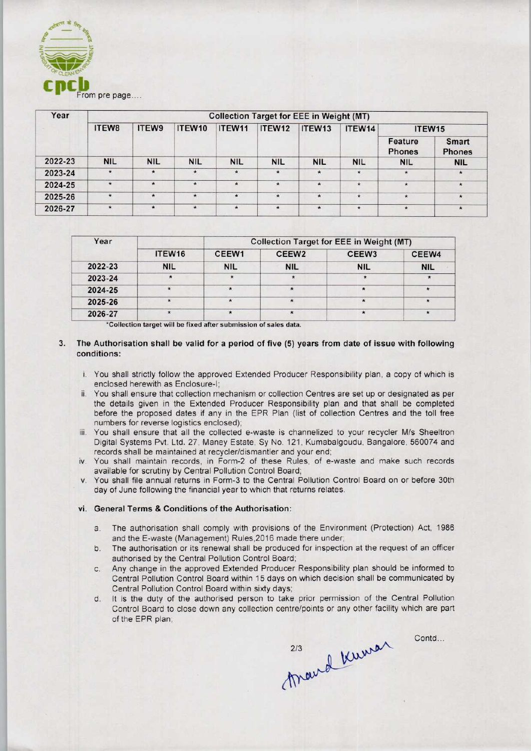

| Year    | <b>Collection Target for EEE in Weight (MT)</b> |            |               |            |               |            |               |                          |                        |  |
|---------|-------------------------------------------------|------------|---------------|------------|---------------|------------|---------------|--------------------------|------------------------|--|
|         | ITEW8                                           | ITEW9      | ITEW10        | ITEW11     | ITEW12        | ITEW13     | ITEW14        | ITEW15                   |                        |  |
|         |                                                 |            |               |            |               |            |               | Feature<br><b>Phones</b> | Smart<br><b>Phones</b> |  |
| 2022-23 | <b>NIL</b>                                      | <b>NIL</b> | <b>NIL</b>    | <b>NIL</b> | <b>NIL</b>    | <b>NIL</b> | <b>NIL</b>    | <b>NIL</b>               | <b>NIL</b>             |  |
| 2023-24 | $^\star$                                        | $\star$    | $\pmb{\star}$ | $\star$    | $\pmb{\star}$ | $\star$    | $\pmb{\star}$ | $\star$                  | $\star$                |  |
| 2024-25 | $\star$                                         | $\star$    | $\star$       | $\star$    | $\star$       | $\star$    | $\star$       | $\star$                  | $\star$                |  |
| 2025-26 | $\star$                                         | $\star$    | $\star$       | $\star$    | $\star$       | ×          | $\star$       | $\star$                  | $\star$                |  |
| 2026-27 | $\star$                                         | $\star$    | $\star$       | $\star$    | $\star$       | $\star$    | $\star$       | $\star$                  | $\star$                |  |

| Year    |                    | <b>Collection Target for EEE in Weight (MT)</b> |                   |                   |            |  |  |  |
|---------|--------------------|-------------------------------------------------|-------------------|-------------------|------------|--|--|--|
|         | ITEW <sub>16</sub> | CEEW <sub>1</sub>                               | CEEW <sub>2</sub> | CEEW <sub>3</sub> | CEEW4      |  |  |  |
| 2022-23 | <b>NIL</b>         | <b>NIL</b>                                      | <b>NIL</b>        | <b>NIL</b>        | <b>NIL</b> |  |  |  |
| 2023-24 |                    |                                                 |                   |                   |            |  |  |  |
| 2024-25 |                    |                                                 |                   |                   |            |  |  |  |
| 2025-26 |                    | $\star$                                         | $\star$           | $\star$           |            |  |  |  |
| 2026-27 |                    |                                                 |                   |                   |            |  |  |  |

\*Collection target will be fixed after submission of sales data.

- 3. The Authorisation shall be valid for a period of five (5) years from date of issue with following conditions:
	- i. You shall strictly follow the approved Extended Producer Responsibility plan, a copy of which is enclosed herewith as Enclosure-I;
	- ii. You shall ensure that collection mechanism or collection Centres are set up or designated as per the details given in the Extended Producer Responsibility plan and that shall be completed before the proposed dates if any in the EPR Plan (list of collection Centres and the toll free numbers for reverse logistics enclosed);
	- iii. You shall ensure that all the collected e-waste is channelized to your recycler M/s Sheeltron Digital Systems Pvt. Ltd. 27, Maney Estate, Sy No. 121, Kumabalgoudu, Bangalore, 560074 and records shall be maintained at recycler/dismantler and your end;
	- iv. You shall maintain records, in Form-2 of these Rules, of e-waste and make such records available for scrutiny by Central Pollution Control Board;
	- v. You shall file annual returns in Form-3 to the Central Pollution Control Board on or before 30th day of June following the financial year to which that returns relates.

#### vi. General Terms & Conditions of the Authorisation:

- a. The authorisation shall comply with provisions of the Environment (Protection) Act, 1986 and the E-waste (Management) Rules,2016 made there under;
- b.The authorisation or its renewal shall be produced for inspection at the request of an officer authorised by the Central Pollution Control Board;
- c.Any change in the approved Extended Producer Responsibility plan should be informed to Central Pollution Control Board within 15 days on which decision shall be communicated by Central Pollution Control Board within sixty days;
- d. It is the duty of the authorised person to take prior permission of the Central Pollution Control Board to close down any collection centre/points or any other facility which are part of the EPR plan;

213 Kuman Contd...